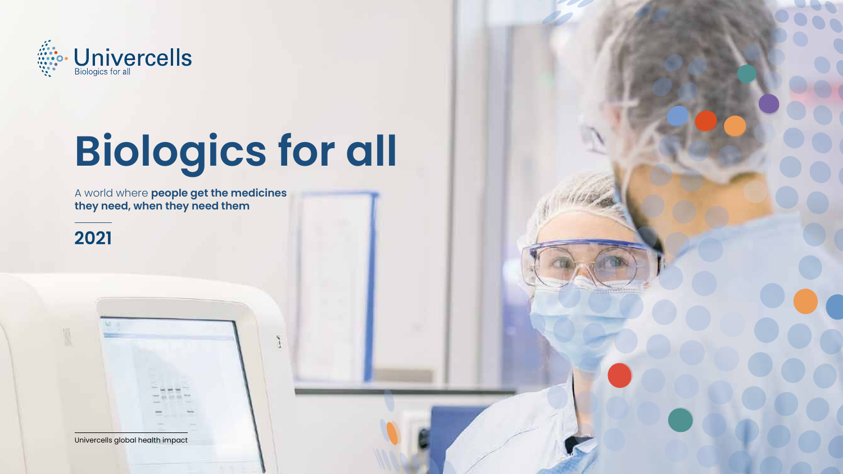

# **Biologics for all**

A world where **people get the medicines they need, when they need them**

### **2021**

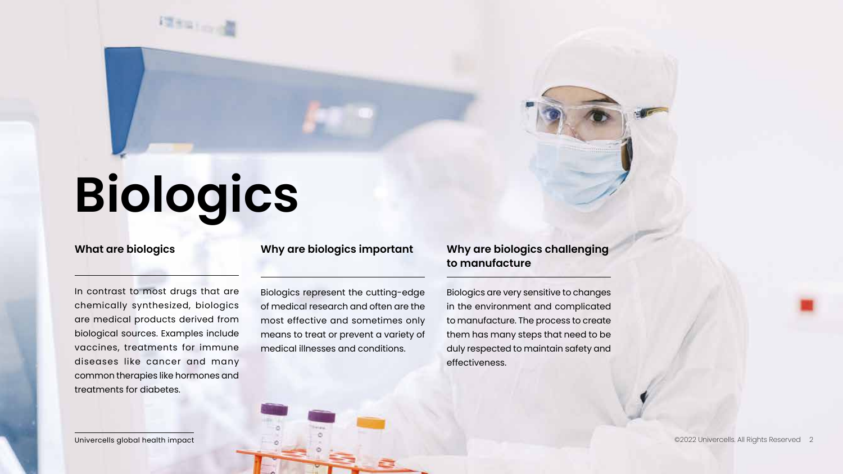# **Biologics**

**DESCRIPTION** 

### **What are biologics**

**Why are biologics important**

In contrast to most drugs that are chemically synthesized, biologics are medical products derived from biological sources. Examples include vaccines, treatments for immune diseases like cancer and many common therapies like hormones and treatments for diabetes.

Biologics represent the cutting-edge of medical research and often are the most effective and sometimes only means to treat or prevent a variety of medical illnesses and conditions.

### **Why are biologics challenging to manufacture**

Biologics are very sensitive to changes in the environment and complicated to manufacture. The process to create them has many steps that need to be duly respected to maintain safety and effectiveness.

Univercells global health impact and the second controlls. All Rights Reserved 2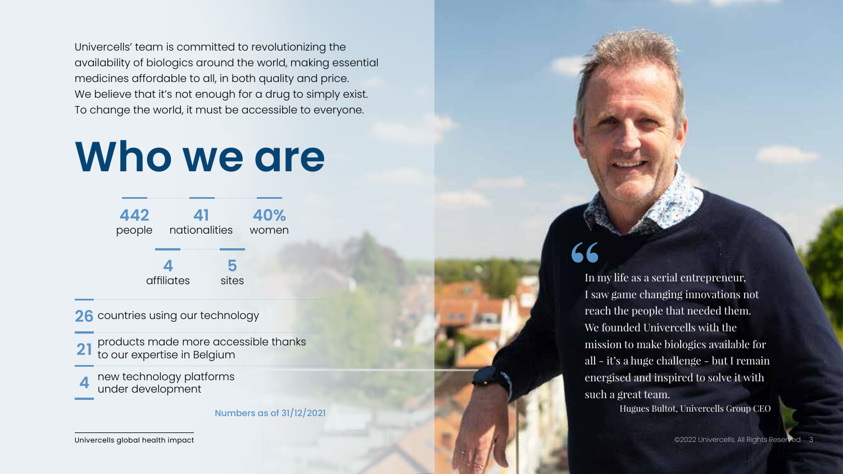Univercells' team is committed to revolutionizing the availability of biologics around the world, making essential medicines affordable to all, in both quality and price. We believe that it's not enough for a drug to simply exist. To change the world, it must be accessible to everyone.

## **Who we are**



### **26** countries using our technology

products made more accessible thanks **<sup>21</sup>** to our expertise in Belgium

new technology platforms **<sup>4</sup>** under development

### Numbers as of 31/12/2021

Univercells global health impact

In my life as a serial entrepreneur, I saw game changing innovations not reach the people that needed them. We founded Univercells with the mission to make biologics available for all - it's a huge challenge - but I remain energised and inspired to solve it with such a great team.

Hugues Bultot, Univercells Group CEO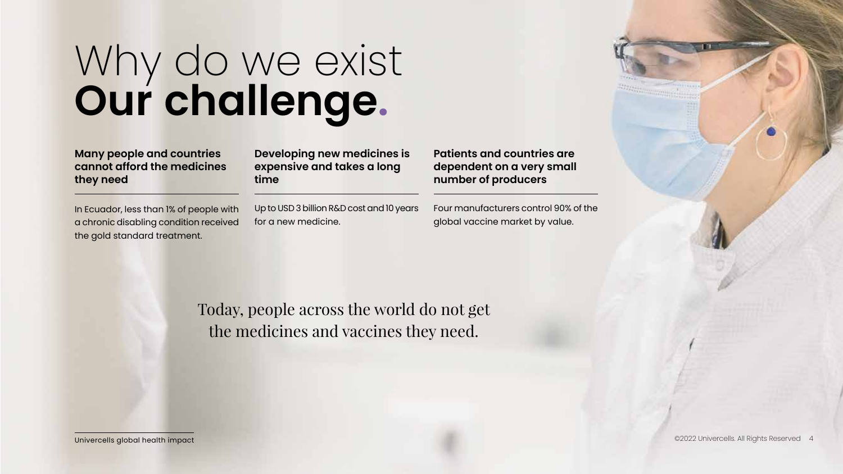## Why do we exist **Our challenge.**

**Many people and countries cannot afford the medicines they need**

**Developing new medicines is expensive and takes a long time**

In Ecuador, less than 1% of people with a chronic disabling condition received the gold standard treatment.

Up to USD 3 billion R&D cost and 10 years for a new medicine.

**Patients and countries are dependent on a very small number of producers**

Four manufacturers control 90% of the global vaccine market by value.

Today, people across the world do not get the medicines and vaccines they need.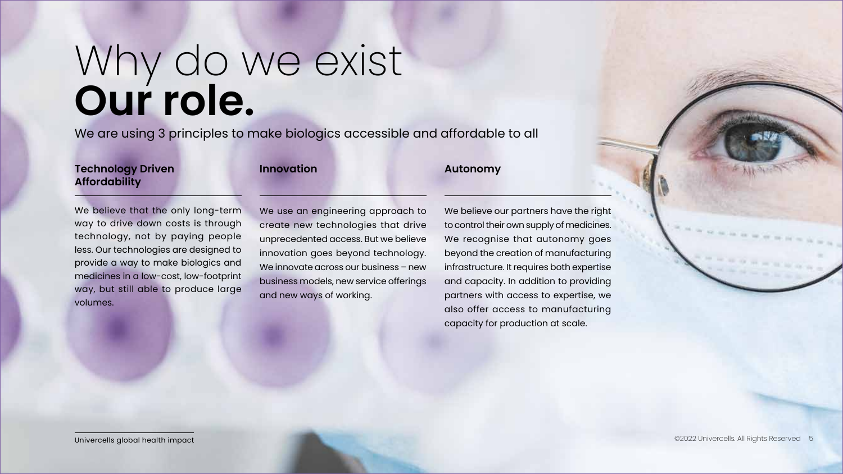### Why do we exist **Our role.**

We are using 3 principles to make biologics accessible and affordable to all

### **Technology Driven Affordability**

### **Innovation**

### **Autonomy**

We believe that the only long-term way to drive down costs is through technology, not by paying people less. Our technologies are designed to provide a way to make biologics and medicines in a low-cost, low-footprint way, but still able to produce large volumes.

We use an engineering approach to create new technologies that drive unprecedented access. But we believe innovation goes beyond technology. We innovate across our business - new business models, new service offerings and new ways of working.

We believe our partners have the right to control their own supply of medicines. We recognise that autonomy goes beyond the creation of manufacturing infrastructure. It requires both expertise and capacity. In addition to providing partners with access to expertise, we also offer access to manufacturing capacity for production at scale.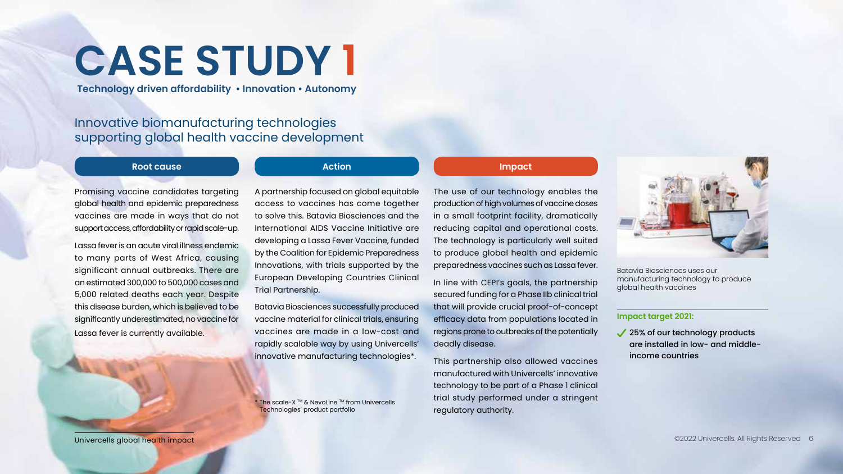**Technology driven affordability • Innovation • Autonomy**

### Innovative biomanufacturing technologies supporting global health vaccine development

#### **Root cause**

### **Action**

Promising vaccine candidates targeting global health and epidemic preparedness vaccines are made in ways that do not support access, affordability or rapid scale-up.

Lassa fever is an acute viral illness endemic to many parts of West Africa, causing significant annual outbreaks. There are an estimated 300,000 to 500,000 cases and 5,000 related deaths each year. Despite this disease burden, which is believed to be significantly underestimated, no vaccine for Lassa fever is currently available.

A partnership focused on global equitable access to vaccines has come together to solve this. Batavia Biosciences and the International AIDS Vaccine Initiative are developing a Lassa Fever Vaccine, funded by the Coalition for Epidemic Preparedness Innovations, with trials supported by the European Developing Countries Clinical Trial Partnership.

Batavia Biosciences successfully produced vaccine material for clinical trials, ensuring vaccines are made in a low-cost and rapidly scalable way by using Univercells' innovative manufacturing technologies\*.

**\* The scale-X ™ & NevoLine ™ from Univercells** Technologies' product portfolio

### **Impact**

The use of our technology enables the production of high volumes of vaccine doses in a small footprint facility, dramatically reducing capital and operational costs. The technology is particularly well suited to produce global health and epidemic preparedness vaccines such as Lassa fever.

In line with CEPI's goals, the partnership secured funding for a Phase IIb clinical trial that will provide crucial proof-of-concept efficacy data from populations located in regions prone to outbreaks of the potentially deadly disease.

This partnership also allowed vaccines manufactured with Univercells' innovative technology to be part of a Phase 1 clinical trial study performed under a stringent regulatory authority.



Batavia Biosciences uses our manufacturing technology to produce global health vaccines

### **Impact target 2021:**

25% of our technology products are installed in low- and middleincome countries

Univercells global health impact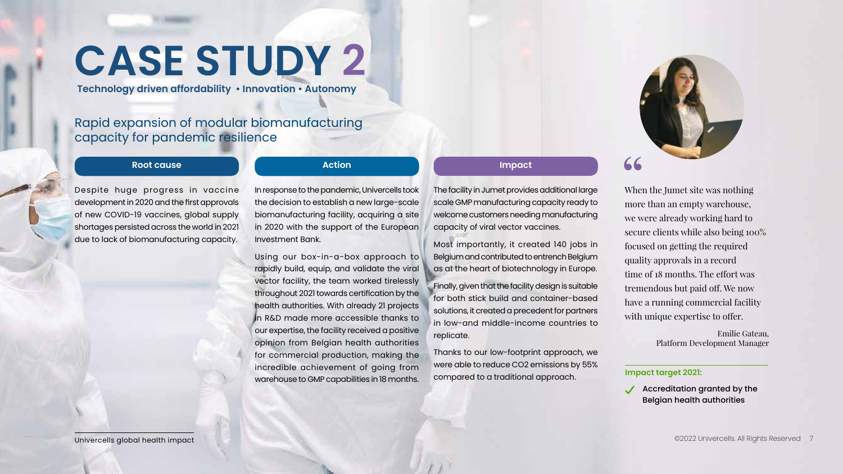**Technology driven affordability • Innovation • Autonomy**

### Rapid expansion of modular biomanufacturing capacity for pandemic resilience

#### **Root cause**

**Action**

Despite huge progress in vaccine development in 2020 and the first approvals of new COVID-19 vaccines, global supply shortages persisted across the world in 2021 due to lack of biomanufacturing capacity.

### In response to the pandemic, Univercells took the decision to establish a new large-scale biomanufacturing facility, acquiring a site in 2020 with the support of the European Investment Bank.

Using our box-in-a-box approach to rapidly build, equip, and validate the viral vector facility, the team worked tirelessly throughout 2021 towards certification by the health authorities. With already 21 projects in R&D made more accessible thanks to our expertise, the facility received a positive opinion from Belgian health authorities for commercial production, making the incredible achievement of going from warehouse to GMP capabilities in 18 months.

### **Impact**

The facility in Jumet provides additional large scale GMP manufacturing capacity ready to welcome customers needing manufacturing capacity of viral vector vaccines.

Most importantly, it created 140 jobs in Belgium and contributed to entrench Belgium as at the heart of biotechnology in Europe.

Finally, given that the facility design is suitable for both stick build and container-based solutions, it created a precedent for partners in low-and middle-income countries to replicate.

Thanks to our low-footprint approach, we were able to reduce CO2 emissions by 55% compared to a traditional approach.



more than an empty warehouse, we were already working hard to secure clients while also being 100% focused on getting the required quality approvals in a record time of 18 months. The effort was tremendous but paid off. We now have a running commercial facility with unique expertise to offer.

> Emilie Gateau, Platform Development Manager

#### **Impact target 2021:**

Accreditation granted by the Belgian health authorities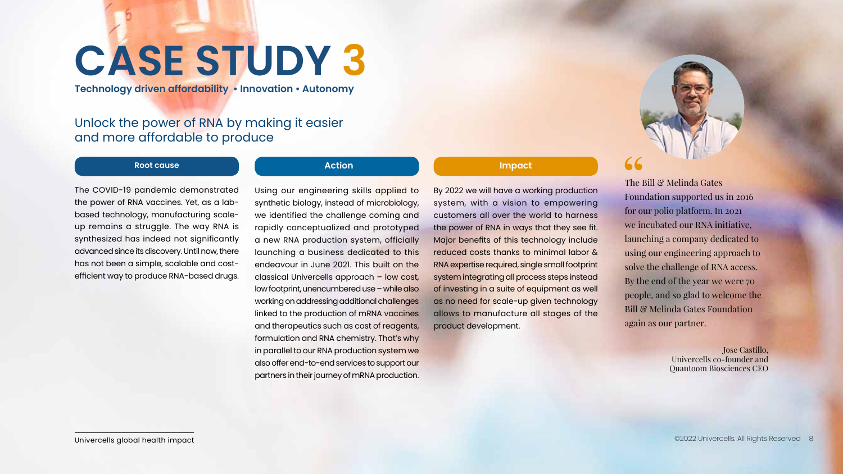**Technology driven affordability • Innovation • Autonomy**

### Unlock the power of RNA by making it easier and more affordable to produce

#### **Root cause**

The COVID-19 pandemic demonstrated the power of RNA vaccines. Yet, as a labbased technology, manufacturing scaleup remains a struggle. The way RNA is synthesized has indeed not significantly advanced since its discovery. Until now, there has not been a simple, scalable and costefficient way to produce RNA-based drugs.

### **Action**

Using our engineering skills applied to synthetic biology, instead of microbiology, we identified the challenge coming and rapidly conceptualized and prototyped a new RNA production system, officially launching a business dedicated to this endeavour in June 2021. This built on the classical Univercells approach – low cost, low footprint, unencumbered use – while also working on addressing additional challenges linked to the production of mRNA vaccines and therapeutics such as cost of reagents, formulation and RNA chemistry. That's why in parallel to our RNA production system we also offer end-to-end services to support our partners in their journey of mRNA production.

### **Impact**

By 2022 we will have a working production system, with a vision to empowering customers all over the world to harness the power of RNA in ways that they see fit. Major benefits of this technology include reduced costs thanks to minimal labor & RNA expertise required, single small footprint system integrating all process steps instead of investing in a suite of equipment as well as no need for scale-up given technology allows to manufacture all stages of the product development.



The Bill & Melinda Gates Foundation supported us in 2016 for our polio platform. In 2021 we incubated our RNA initiative, launching a company dedicated to using our engineering approach to solve the challenge of RNA access. By the end of the year we were 70 people, and so glad to welcome the Bill & Melinda Gates Foundation again as our partner.

> Jose Castillo, Univercells co-founder and Quantoom Biosciences CEO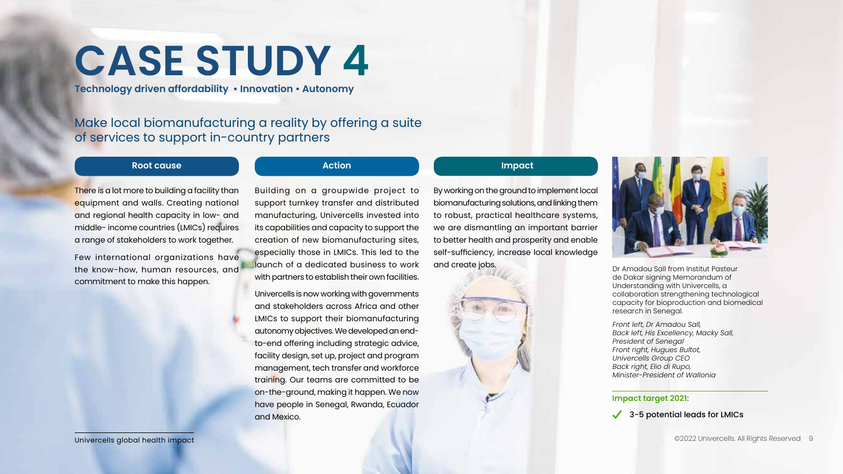**Technology driven affordability • Innovation • Autonomy**

### Make local biomanufacturing a reality by offering a suite of services to support in-country partners

#### **Root cause**

There is a lot more to building a facility than equipment and walls. Creating national and regional health capacity in low- and middle- income countries (LMICs) requires a range of stakeholders to work together.

Few international organizations have the know-how, human resources, and commitment to make this happen.

Building on a groupwide project to support turnkey transfer and distributed manufacturing, Univercells invested into its capabilities and capacity to support the creation of new biomanufacturing sites, especially those in LMICs. This led to the launch of a dedicated business to work with partners to establish their own facilities.

**Action**

Univercells is now working with governments and stakeholders across Africa and other LMICs to support their biomanufacturing autonomy objectives. We developed an endto-end offering including strategic advice, facility design, set up, project and program management, tech transfer and workforce training. Our teams are committed to be on-the-ground, making it happen. We now have people in Senegal, Rwanda, Ecuador and Mexico.

### **Impact**

By working on the ground to implement local biomanufacturing solutions, and linking them to robust, practical healthcare systems, we are dismantling an important barrier to better health and prosperity and enable self-sufficiency, increase local knowledge and create jobs.





Dr Amadou Sall from Institut Pasteur de Dakar signing Memorandum of Understanding with Univercells, a collaboration strengthening technological capacity for bioproduction and biomedical research in Senegal.

*Front left, Dr Amadou Sall, Back left, His Excellency, Macky Sall, President of Senegal Front right, Hugues Bultot, Univercells Group CEO Back right, Elio di Rupo, Minister-President of Wallonia*

#### **Impact target 2021:**

 $\sqrt{3-5}$  potential leads for LMICs

©2022 Univercells. All Rights Reserved 9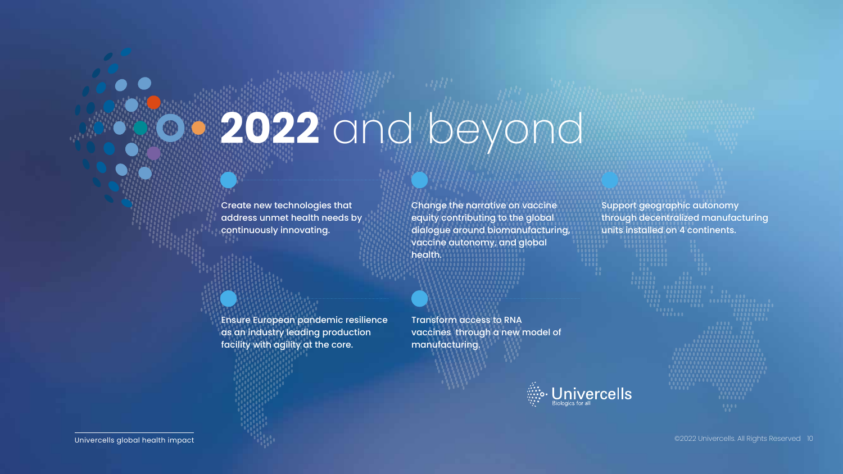# **2022** and beyond

Create new technologies that address unmet health needs by continuously innovating.

Change the narrative on vaccine equity contributing to the global dialogue around biomanufacturing, vaccine autonomy, and global health.

Ensure European pandemic resilience as an industry leading production facility with agility at the core.

Transform access to RNA vaccines through a new model of manufacturing.



Support geographic autonomy through decentralized manufacturing units installed on 4 continents.

Univercells global health impact **Exerce of the control of the control of the control of the control of the control of the control of the control of the control of the control of the control of the control of the control o**